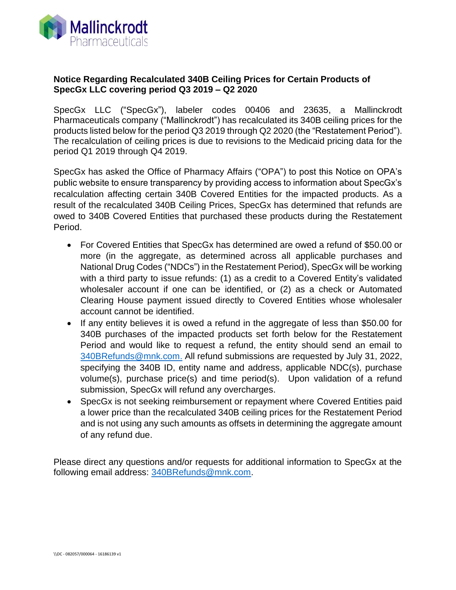

## **Notice Regarding Recalculated 340B Ceiling Prices for Certain Products of SpecGx LLC covering period Q3 2019 – Q2 2020**

SpecGx LLC ("SpecGx"), labeler codes 00406 and 23635, a Mallinckrodt Pharmaceuticals company ("Mallinckrodt") has recalculated its 340B ceiling prices for the products listed below for the period Q3 2019 through Q2 2020 (the "Restatement Period"). The recalculation of ceiling prices is due to revisions to the Medicaid pricing data for the period Q1 2019 through Q4 2019.

SpecGx has asked the Office of Pharmacy Affairs ("OPA") to post this Notice on OPA's public website to ensure transparency by providing access to information about SpecGx's recalculation affecting certain 340B Covered Entities for the impacted products. As a result of the recalculated 340B Ceiling Prices, SpecGx has determined that refunds are owed to 340B Covered Entities that purchased these products during the Restatement Period.

- For Covered Entities that SpecGx has determined are owed a refund of \$50.00 or more (in the aggregate, as determined across all applicable purchases and National Drug Codes ("NDCs") in the Restatement Period), SpecGx will be working with a third party to issue refunds: (1) as a credit to a Covered Entity's validated wholesaler account if one can be identified, or (2) as a check or Automated Clearing House payment issued directly to Covered Entities whose wholesaler account cannot be identified.
- If any entity believes it is owed a refund in the aggregate of less than \$50.00 for 340B purchases of the impacted products set forth below for the Restatement Period and would like to request a refund, the entity should send an email to [340BRefunds@mnk.com.](mailto:340BRefunds@mnk.com) All refund submissions are requested by July 31, 2022, specifying the 340B ID, entity name and address, applicable NDC(s), purchase volume(s), purchase price(s) and time period(s). Upon validation of a refund submission, SpecGx will refund any overcharges.
- SpecGx is not seeking reimbursement or repayment where Covered Entities paid a lower price than the recalculated 340B ceiling prices for the Restatement Period and is not using any such amounts as offsets in determining the aggregate amount of any refund due.

Please direct any questions and/or requests for additional information to SpecGx at the following email address: [340BRefunds@mnk.com.](mailto:340BRefunds@mnk.com)